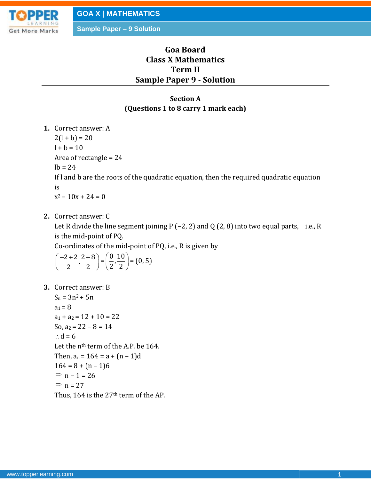

**Sample Paper – 9 Solution**

# **Goa Board Class X Mathematics Term II Sample Paper 9 - Solution**

## **Section A (Questions 1 to 8 carry 1 mark each)**

**1.** Correct answer: A

 $2(l + b) = 20$  $l + b = 10$ Area of rectangle = 24  $lb = 24$ If l and b are the roots of the quadratic equation, then the required quadratic equation is  $x^2 - 10x + 24 = 0$ 

**2.** Correct answer: C

Let R divide the line segment joining P  $(-2, 2)$  and Q  $(2, 8)$  into two equal parts, i.e., R is the mid-point of PQ.

Co-ordinates of the mid-point of PQ, i.e., R is given by

$$
\left(\frac{-2+2}{2},\frac{2+8}{2}\right) = \left(\frac{0}{2},\frac{10}{2}\right) = (0,5)
$$

**3.** Correct answer: B

 $S_n = 3n^2 + 5n$  $a_1 = 8$  $a_1 + a_2 = 12 + 10 = 22$ So,  $a_2 = 22 - 8 = 14$  $\therefore$  d = 6 Let the n<sup>th</sup> term of the A.P. be 164. Then,  $a_n = 164 = a + (n-1)d$  $164 = 8 + (n - 1)6$  $\Rightarrow$  n – 1 = 26  $\Rightarrow$  n = 27 Thus, 164 is the  $27<sup>th</sup>$  term of the AP.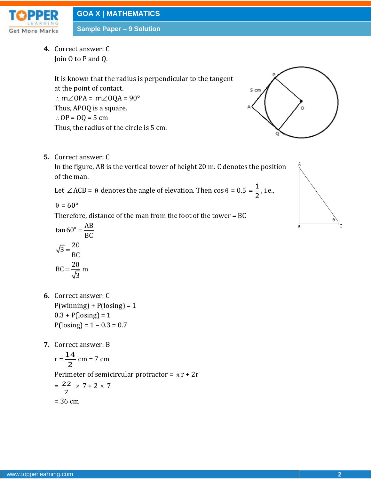

**Sample Paper – 9 Solution**

**4.** Correct answer: C Join O to P and Q.

> It is known that the radius is perpendicular to the tangent at the point of contact. :  $m\angle$  OPA =  $m\angle$  OQA = 90° Thus, APOQ is a square. ∴  $OP = OQ = 5$  cm Thus, the radius of the circle is 5 cm.

**5.** Correct answer: C

In the figure, AB is the vertical tower of height 20 m. C denotes the position of the man.

Let  $\angle$  ACB =  $\theta$  denotes the angle of elevation. Then  $\cos \theta = 0.5 = \frac{1}{2}$ 2  $=\frac{1}{2}$ , i.e.,

 $\theta = 60^\circ$ 

Therefore, distance of the man from the foot of the tower = BC

$$
\tan 60^\circ = \frac{AB}{BC}
$$

$$
\sqrt{3} = \frac{20}{BC}
$$

$$
BC = \frac{20}{\sqrt{3}} m
$$

- **6.** Correct answer: C  $P(\text{winning}) + P(\text{losing}) = 1$  $0.3 + P($ losing $) = 1$  $P($ losing $) = 1 - 0.3 = 0.7$
- **7.** Correct answer: B

$$
r = \frac{14}{2}
$$
 cm = 7 cm

Perimeter of semicircular protractor =  $\pi$  r + 2r

$$
= \frac{22}{7} \times 7 + 2 \times 7
$$

$$
= 36 \text{ cm}
$$



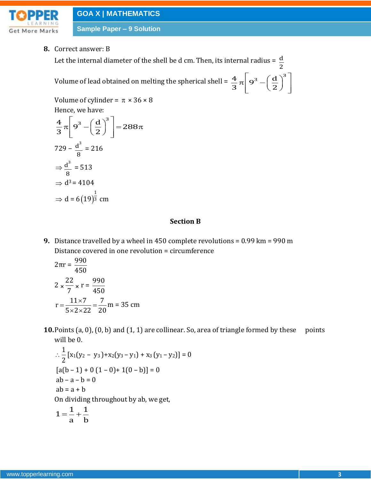

**Sample Paper – 9 Solution**

**8.** Correct answer: B

Let the internal diameter of the shell be d cm. Then, its internal radius =  $\,\frac{\rm d}{}$ 2

Volume of lead obtained on melting the spherical shell =  $\frac{4}{3}\pi\left[9^3-\left(\frac{d}{2}\right)^3\right]$  $\begin{bmatrix} 3 & (d)^3 \end{bmatrix}$  $\pi \left[ 9^3 - \left( \frac{d}{2} \right)^3 \right]$ 

Volume of cylinder =  $\pi \times 36 \times 8$ Hence, we have:

 $rac{4}{3}\pi\left[9^3-\left(\frac{d}{3}\right)^3\right]=288$  $\frac{4}{3}\pi$  9<sup>3</sup> -  $\left(\frac{a}{2}\right)$ e, we have:<br> $\left[\frac{q^3 - (\frac{d}{q})^3}{q^2 - q^3}\right]$  - 3  $\pi \left[9^3 - \left(\frac{d}{2}\right)^3\right] = 288\pi$  $729 - \underline{d}^3$ 8 = 216  $\Rightarrow \underline{d}^3$ 8 = 513  $\Rightarrow$  d<sup>3</sup> = 4104  $\Rightarrow$  d = 6(19) 1  $(19)^{\frac{1}{3}}$  cm

### **Section B**

**9.** Distance travelled by a wheel in 450 complete revolutions = 0.99 km = 990 m Distance covered in one revolution = circumference

$$
2\pi r = \frac{990}{450}
$$
  
2 \times \frac{22}{7} \times r = \frac{990}{450}  
r = \frac{11 \times 7}{5 \times 2 \times 22} = \frac{7}{20} m = 35 cm

**10.** Points (a, 0), (0, b) and (1, 1) are collinear. So, area of triangle formed by these points will be 0.

$$
\therefore \frac{1}{2} [x_1(y_2 - y_3) + x_2(y_3 - y_1) + x_3(y_1 - y_2)] = 0
$$
  
\n
$$
[a(b - 1) + 0 (1 - 0) + 1(0 - b)] = 0
$$
  
\n
$$
ab - a - b = 0
$$
  
\n
$$
ab = a + b
$$
  
\nOn dividing throughout by ab, we get,  
\n
$$
1 = \frac{1}{a} + \frac{1}{b}
$$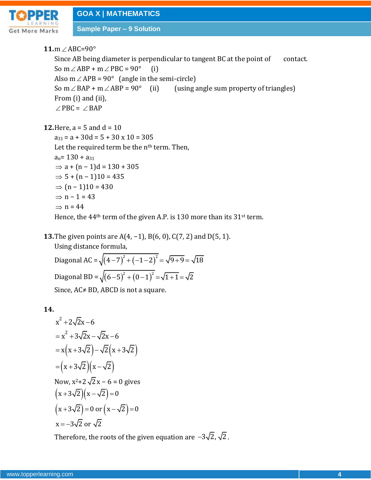**11.**m∠ABC=90° Since AB being diameter is perpendicular to tangent BC at the point of contact. So m  $\angle$  ABP + m  $\angle$  PBC = 90° (i) Also  $m \angle APB = 90^{\circ}$  (angle in the semi-circle) So m  $\angle$  BAP + m  $\angle$ (using angle sum property of triangles) From (i) and (ii),  $\angle$ PBC =  $\angle$ BAP

**12.** Here,  $a = 5$  and  $d = 10$ 

 $a_{31} = a + 30d = 5 + 30x10 = 305$ Let the required term be the  $n<sup>th</sup>$  term. Then,  $a_n = 130 + a_{31}$  $\Rightarrow$  a + (n – 1)d = 130 + 305  $\Rightarrow$  5 + (n – 1)10 = 435  $\Rightarrow$  (n – 1)10 = 430  $\Rightarrow$  n – 1 = 43  $\Rightarrow$  n = 44 Hence, the  $44<sup>th</sup>$  term of the given A.P. is 130 more than its 31<sup>st</sup> term.

**13.**The given points are A(4, −1), B(6, 0), C(7, 2) and D(5, 1).

Using distance formula, Diagonal AC =  $\sqrt{(4-7)^2 + (-1-2)^2} = \sqrt{9+9} = \sqrt{18}$ Diagonal BD =  $\sqrt{(6-5)^2 + (0-1)^2} = \sqrt{1+1} = \sqrt{2}$ Since, AC≠ BD, ABCD is not a square.

**14.**

$$
x^{2} + 2\sqrt{2}x - 6
$$
  
=  $x^{2} + 3\sqrt{2}x - \sqrt{2}x - 6$   
=  $x(x + 3\sqrt{2}) - \sqrt{2}(x + 3\sqrt{2})$   
=  $(x + 3\sqrt{2})(x - \sqrt{2})$   
Now,  $x^{2} + 2\sqrt{2}x - 6 = 0$  gives  
 $(x + 3\sqrt{2})(x - \sqrt{2}) = 0$   
 $(x + 3\sqrt{2}) = 0$  or  $(x - \sqrt{2}) = 0$   
 $x = -3\sqrt{2}$  or  $\sqrt{2}$ 

Therefore, the roots of the given equation are  $-3\sqrt{2}$ ,  $\sqrt{2}$ .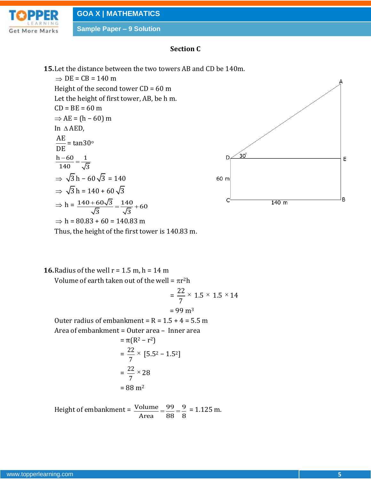

### **Section C**

**15.**Let the distance between the two towers AB and CD be 140m.

 $\Rightarrow$  DE = CB = 140 m Height of the second tower  $CD = 60$  m Let the height of first tower, AB, be h m.  $CD = BE = 60 m$  $\Rightarrow$  AE = (h – 60) m In AED, AE DE  $=$  tan30 $^{\circ}$  $h - 60$  1 140  $\sqrt{3}$  $\frac{-60}{10}$  =  $\Rightarrow$  √3 h – 60 √3 = 140  $\Rightarrow$   $\sqrt{3}$  h = 140 + 60  $\sqrt{3}$  $\Rightarrow h = \frac{140 + 60\sqrt{3}}{6} = \frac{140}{6} + 60$  $\frac{80 \sqrt{3}}{3} = \frac{140}{\sqrt{3}}$  $\frac{+60\sqrt{3}}{6} = \frac{140}{6} + 60$  $\Rightarrow$  h = 80.83 + 60 = 140.83 m Thus, the height of the first tower is 140.83 m.



**16.** Radius of the well  $r = 1.5$  m,  $h = 14$  m

Volume of earth taken out of the well =  $\pi r^2$ h

$$
= \frac{22}{7} \times 1.5 \times 1.5 \times 14
$$
  
= 99 m<sup>3</sup>  
Outer radius of embankment = R = 1.5 + 4 = 5.5 m  
Area of embankment = Outer area - Inner area  
=  $\pi(R^2 - r^2)$   
=  $\frac{22}{7} \times [5.5^2 - 1.5^2]$   
=  $\frac{22}{7} \times 28$   
= 88 m<sup>2</sup>

Height of embankment =  $\frac{\text{Volume}}{\text{Volume}} = \frac{99}{99} = \frac{9}{99}$  $\overline{\text{Area}}$  =  $\overline{\text{88}}$  =  $\overline{\text{8}}$  $=\frac{99}{20}=\frac{9}{2}=1.125$  m.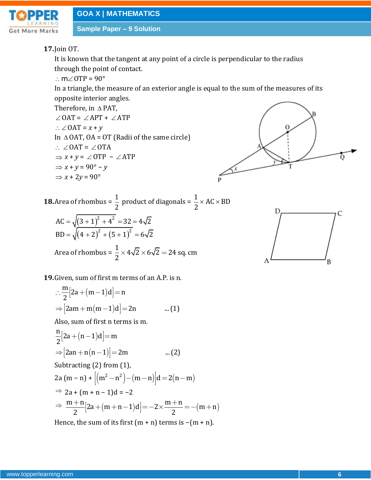

## **17.**Join OT.

It is known that the tangent at any point of a circle is perpendicular to the radius through the point of contact.

:  $m\angle$  OTP = 90 $^{\circ}$ 

In a triangle, the measure of an exterior angle is equal to the sum of the measures of its opposite interior angles.

Therefore, in  $\triangle$  PAT,

 $\angle$ OAT =  $\angle$ APT +  $\angle$ ATP  $\therefore$   $\angle$  OAT =  $x + y$ In  $\triangle$  OAT, OA = OT (Radii of the same circle)  $\therefore$   $\angle$  OAT =  $\angle$  OTA  $\Rightarrow$   $x + y = \angle$  OTP –  $\angle$  ATP *x* + *y* = 90° − *y*  $\Rightarrow$  *x* + 2*y* = 90 $^{\circ}$ 



**18.**Area of rhombus =  $\frac{1}{2}$ 2 product of diagonals =  $\frac{1}{2} \times AC \times BD$ 2  $\times$  AC  $\times$  1  $(3+1)^{4}$  $(4+2)^{2}+(5+1)^{4}$ 2  $4^2$  $\frac{1}{2}$   $(5 + 1)^2$  $AC = \sqrt{(3 + 1)^2 + 4^2} = 32 = 4\sqrt{2}$ BD =  $\sqrt{(4+2)^2 + (5+1)^2} = 6\sqrt{2}$  $=\sqrt{(3+1)^2+4^2}=32=4\sqrt{2}$  $=\sqrt{(4+2)^2+(5+1)^2}=6\sqrt{2}$ Area of rhombus =  $\frac{1}{2} \times 4\sqrt{2} \times 6\sqrt{2} = 24$  sq. cm



**19.** Given, sum of first m terms of an A.P. is n.  
\n
$$
\therefore \frac{m}{2} [2a + (m-1)d] = n
$$
\n
$$
\Rightarrow [2am + m(m-1)d] = 2n \qquad ...(1)
$$
\nAlso, sum of first n terms is m.

Also, sum of first n terms is m.  
\n
$$
\frac{n}{2}[2a + (n-1)d] = m
$$
\n
$$
\Rightarrow [2an + n(n-1)] = 2m \qquad ...(2)
$$
\nSubtracting (2) from (1)

Subtracting (2) from (1),

Subtracting (2) from (1),  
\n2a (m - n) + 
$$
[(m^2 - n^2) - (m - n)]d = 2(n - m)
$$
  
\n $\Rightarrow$  2a + (m + n - 1)d = -2  
\n $\Rightarrow$   $\frac{m+n}{2}[2a + (m+n-1)d] = -2 \times \frac{m+n}{2} = -(m+n)$ 

Hence, the sum of its first  $(m + n)$  terms is  $-(m + n)$ .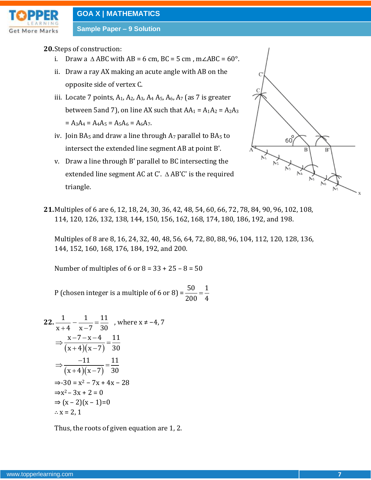

**Sample Paper – 9 Solution**

### **20.**Steps of construction:

- i. Draw a  $\triangle$  ABC with AB = 6 cm, BC = 5 cm, m∠ABC = 60°.
- ii. Draw a ray AX making an acute angle with AB on the opposite side of vertex C.
- iii. Locate 7 points,  $A_1$ ,  $A_2$ ,  $A_3$ ,  $A_4$ ,  $A_5$ ,  $A_6$ ,  $A_7$  (as 7 is greater between 5and 7), on line AX such that  $AA_1 = A_1A_2 = A_2A_3$  $= A_3A_4 = A_4A_5 = A_5A_6 = A_6A_7.$
- iv. Join BA $_5$  and draw a line through A $_7$  parallel to BA $_5$  to intersect the extended line segment AB at point B'.
- v. Draw a line through B' parallel to BC intersecting the extended line segment AC at C'. Δ AB'C' is the required triangle.



**21.**Multiples of 6 are 6, 12, 18, 24, 30, 36, 42, 48, 54, 60, 66, 72, 78, 84, 90, 96, 102, 108, 114, 120, 126, 132, 138, 144, 150, 156, 162, 168, 174, 180, 186, 192, and 198.

Multiples of 8 are 8, 16, 24, 32, 40, 48, 56, 64, 72, 80, 88, 96, 104, 112, 120, 128, 136, 144, 152, 160, 168, 176, 184, 192, and 200.

Number of multiples of 6 or  $8 = 33 + 25 - 8 = 50$ 

P (chosen integer is a multiple of 6 or 8) =  $\frac{50}{200} = \frac{1}{100}$ 200 4  $=$ 

22. 
$$
\frac{1}{x+4} - \frac{1}{x-7} = \frac{11}{30}
$$
, where  $x \neq -4, 7$   
\n
$$
\Rightarrow \frac{x-7-x-4}{(x+4)(x-7)} = \frac{11}{30}
$$
\n
$$
\Rightarrow \frac{-11}{(x+4)(x-7)} = \frac{11}{30}
$$
\n
$$
\Rightarrow -30 = x^2 - 7x + 4x - 28
$$
\n
$$
\Rightarrow x^2 - 3x + 2 = 0
$$
\n
$$
\Rightarrow (x-2)(x-1)=0
$$
\n
$$
\therefore x = 2, 1
$$

Thus, the roots of given equation are 1, 2.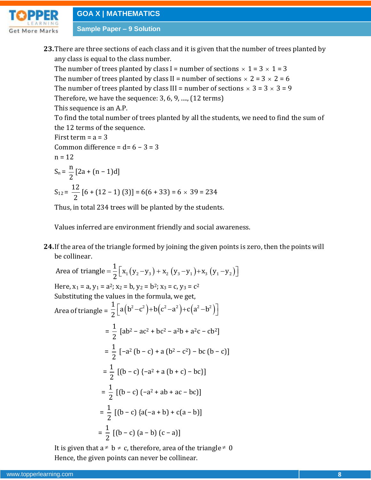**Sample Paper – 9 Solution**

**23.**There are three sections of each class and it is given that the number of trees planted by any class is equal to the class number.

The number of trees planted by class I = number of sections  $\times$  1 = 3  $\times$  1 = 3

The number of trees planted by class II = number of sections  $\times$  2 = 3  $\times$  2 = 6

The number of trees planted by class III = number of sections  $\times$  3 = 3  $\times$  3 = 9

Therefore, we have the sequence: 3, 6, 9, ...., (12 terms)

This sequence is an A.P.

To find the total number of trees planted by all the students, we need to find the sum of the 12 terms of the sequence.

First term  $= a = 3$ Common difference =  $d= 6 - 3 = 3$  $n = 12$  $S_n = \frac{n}{2}$ 2  $[2a + (n-1)d]$  $S_{12} = \frac{12}{3}$ 2  $[6+(12-1)(3)]=6(6+33)=6\times 39=234$ 

Thus, in total 234 trees will be planted by the students.

Values inferred are environment friendly and social awareness.

**24.**If the area of the triangle formed by joining the given points is zero, then the points will be collinear.

24.1 the area of the triangle for line by joining the given points is zero, the collinear.  
\nArea of triangle 
$$
=\frac{1}{2} [x_1(y_2-y_3) + x_2 (y_3-y_1) + x_3 (y_1-y_2)]
$$
  
\nHere,  $x_1 = a, y_1 = a^2; x_2 = b, y_2 = b^2; x_3 = c, y_3 = c^2$   
\nSubstituting the values in the formula, we get,  
\nArea of triangle  $=\frac{1}{2} [a(b^2 - c^2) + b(c^2 - a^2) + c(a^2 - b^2)]$   
\n $=\frac{1}{2} [ab^2 - ac^2 + bc^2 - a^2b + a^2c - cb^2]$   
\n $=\frac{1}{2} [-a^2 (b - c) + a (b^2 - c^2) - bc (b - c)]$   
\n $=\frac{1}{2} [(b - c) (-a^2 + ab + ac - bc)]$   
\n $=\frac{1}{2} [(b - c) (a(-a + b) + c(a - b)]$   
\n $=\frac{1}{2} [(b - c) (a - b) (c - a)]$ 

It is given that  $a \neq b \neq c$ , therefore, area of the triangle  $\neq 0$ Hence, the given points can never be collinear.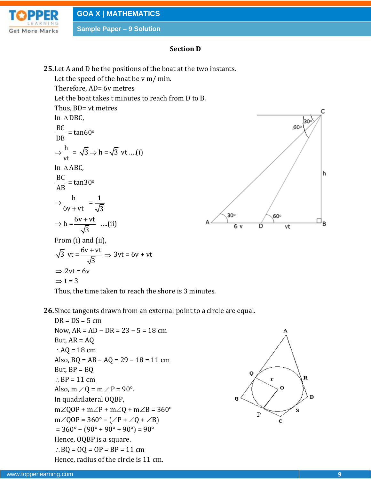

### **Section D**

**25.**Let A and D be the positions of the boat at the two instants.

Let the speed of the boat be v m/ min. Therefore, AD= 6v metres Let the boat takes t minutes to reach from D to B. Thus, BD= vt metres In DBC, BC DB  $=$  tan60 $\circ$  $\Rightarrow \frac{h}{h}$ vt  $= \sqrt{3} \Rightarrow h = \sqrt{3} \text{ vt}$  ....(i) In ABC, BC AB  $=$  tan30 $^{\circ}$  $\Rightarrow \frac{h}{h}$  $6v + vt$  $=\frac{1}{\sqrt{2}}$ 3  $\Rightarrow h = \frac{6v + vt}{c}$ 3  $\frac{+vt}{-}$  ....(ii) From (i) and (ii),  $\sqrt{3}$  vt =  $\frac{6v + vt}{c}$ 3  $\frac{+vt}{2} \Rightarrow 3vt = 6v + vt$  $\Rightarrow$  2vt = 6v  $\Rightarrow$  t = 3



Thus, the time taken to reach the shore is 3 minutes.

**26.**Since tangents drawn from an external point to a circle are equal.

 $DR = DS = 5$  cm Now, AR = AD − DR = 23 − 5 = 18 cm But,  $AR = AO$  $\therefore$  AQ = 18 cm Also,  $BQ = AB - AQ = 29 - 18 = 11$  cm But,  $BP = BQ$  $\therefore BP = 11 \text{ cm}$ Also,  $m \angle Q = m \angle P = 90^\circ$ . In quadrilateral OQBP,  $m\angle QOP + m\angle P + m\angle Q + m\angle B = 360^{\circ}$  $m\angle QOP = 360^\circ - (\angle P + \angle Q + \angle B)$  $= 360^{\circ} - (90^{\circ} + 90^{\circ} + 90^{\circ}) = 90^{\circ}$ Hence, OQBP is a square.  $BQ = OQ = OP = BP = 11 \text{ cm}$ Hence, radius of the circle is 11 cm.

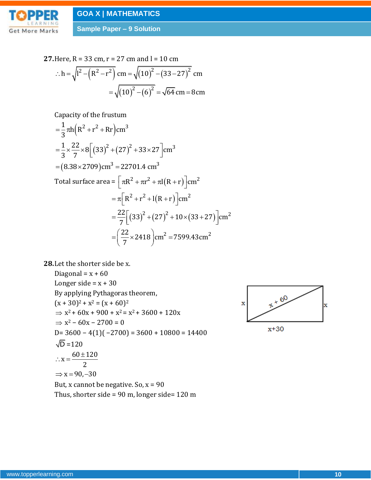

**Sample Paper – 9 Solution**

27. Here, R = 33 cm, r = 27 cm and l = 10 cm  
\n∴ h = 
$$
\sqrt{l^2 - (R^2 - r^2)}
$$
 cm =  $\sqrt{(10)^2 - (33 - 27)^2}$  cm  
\n=  $\sqrt{(10)^2 - (6)^2}$  =  $\sqrt{64}$  cm = 8 cm

Capacity of the frustum

$$
= \frac{1}{3}\pi h(R^{2} + r^{2} + Rr)cm^{3}
$$
  
\n
$$
= \frac{1}{3} \times \frac{22}{7} \times 8 [(33)^{2} + (27)^{2} + 33 \times 27]cm^{3}
$$
  
\n= (8.38×2709)cm<sup>3</sup> = 22701.4 cm<sup>3</sup>  
\nTotal surface area =  $\pi R^{2} + \pi r^{2} + \pi l(R + r)cm^{2}$   
\n
$$
= \pi [R^{2} + r^{2} + l(R + r)]cm^{2}
$$
  
\n
$$
= \frac{22}{7} [(33)^{2} + (27)^{2} + 10 \times (33 + 27)]cm^{2}
$$
  
\n
$$
= (\frac{22}{7} \times 2418)cm^{2} = 7599.43cm^{2}
$$

**28.**Let the shorter side be x.

Diagonal =  $x + 60$ Longer side =  $x + 30$ By applying Pythagoras theorem,  $(x + 30)^2 + x^2 = (x + 60)^2$  $\Rightarrow$  x<sup>2</sup> + 60x + 900 + x<sup>2</sup> = x<sup>2</sup> + 3600 + 120x  $\Rightarrow$  x<sup>2</sup> – 60x – 2700 = 0 D=  $3600 - 4(1)(-2700) = 3600 + 10800 = 14400$  $D = 120$  $x = \frac{60 \pm 120}{x}$ 2  $\Rightarrow$  x = 90, -30  $\therefore$  x =  $\frac{60 \pm \sqrt{2}}{2}$ But, x cannot be negative. So, x = 90

Thus, shorter side =  $90$  m, longer side=  $120$  m

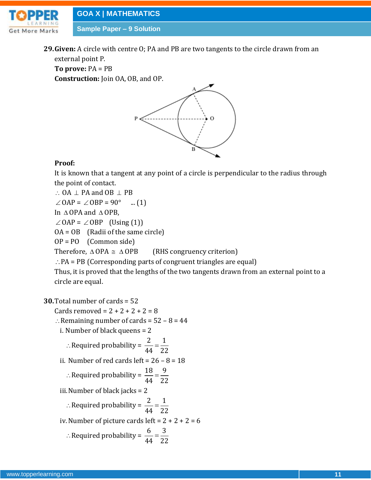

**29.Given:** A circle with centre O; PA and PB are two tangents to the circle drawn from an external point P.

**To prove:** PA = PB **Construction:** Join OA, OB, and OP.



### **Proof:**

It is known that a tangent at any point of a circle is perpendicular to the radius through the point of contact.

 $\therefore$  OA  $\perp$  PA and OB  $\perp$  PB

 $\angle$  OAP =  $\angle$  OBP = 90° ... (1)

In  $\triangle$  OPA and  $\triangle$  OPB,

 $\angle$  OAP =  $\angle$  OBP (Using (1))

OA = OB (Radii of the same circle)

OP = PO (Common side)

Therefore,  $\triangle$  OPA  $\cong \triangle$ (RHS congruency criterion)

 $\therefore$  PA = PB (Corresponding parts of congruent triangles are equal)

Thus, it is proved that the lengths of the two tangents drawn from an external point to a circle are equal.

## **30.**Total number of cards = 52

Cards removed =  $2 + 2 + 2 + 2 = 8$ 

- : Remaining number of cards =  $52 8 = 44$
- i. Number of black queens = 2

$$
\therefore \text{Required probability} = \frac{2}{44} = \frac{1}{22}
$$

ii. Number of red cards left = 
$$
26 - 8 = 18
$$

$$
\therefore \text{Required probability} = \frac{18}{44} = \frac{9}{22}
$$

iii.Number of black jacks = 2

$$
\therefore \text{Required probability} = \frac{2}{44} = \frac{1}{22}
$$

iv. Number of picture cards left =  $2 + 2 + 2 = 6$ 

$$
\therefore \text{Required probability} = \frac{6}{44} = \frac{3}{22}
$$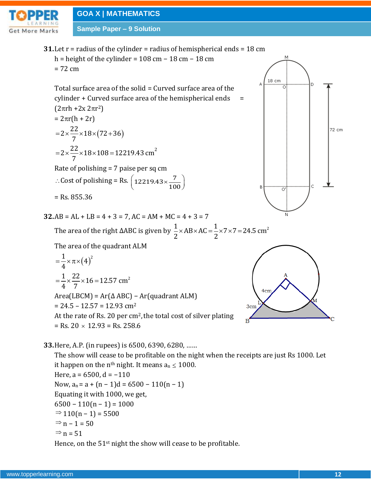

**Sample Paper – 9 Solution**

**31.**Let r = radius of the cylinder = radius of hemispherical ends = 18 cm h = height of the cylinder =  $108$  cm  $- 18$  cm  $- 18$  cm  $= 72$  cm

Total surface area of the solid = Curved surface area of the cylinder  $+$  Curved surface area of the hemispherical ends  $=$  $(2\pi rh + 2x 2\pi r^2)$ 

$$
= 2\pi r (h + 2r)
$$
  
= 2 ×  $\frac{22}{7}$  × 18 × (72 + 36)  
= 2 ×  $\frac{22}{7}$  × 18 × 108 = 12219.43 cm<sup>2</sup>

Rate of polishing = 7 paise per sq cm : Cost of polishing = Rs.  $\left( \frac{12219.43 \times 7}{2219.43 \times 10^{11}} \right)$  $(12219.43 \times \frac{7}{100})$ 

= Rs. 855.36

 $32.AB = AL + LB = 4 + 3 = 7, AC = AM + MC = 4 + 3 = 7$ 

AB = AL + LB = 4 + 3 = 7, AC = AM + MC = 4 + 3 = 7  
The area of the right ΔABC is given by 
$$
\frac{1}{2} \times AB \times AC = \frac{1}{2} \times 7 \times 7 = 24.5
$$
 cm<sup>2</sup>

The area of the quadrant ALM

$$
= \frac{1}{4} \times \pi \times (4)^2
$$
  
=  $\frac{1}{4} \times \frac{22}{7} \times 16 = 12.57$  cm<sup>2</sup>  
Area(LBCM) = Ar( $\triangle$  ABC) – Ar(quadrant ALM)  
= 24.5 – 12.57 = 12.93 cm<sup>2</sup>  
At the rate of Rs. 20 per cm<sup>2</sup>, the total cost of silver plating

 $=$  Rs. 20  $\times$  12.93  $=$  Rs. 258.6

**33.**Here, A.P. (in rupees) is 6500, 6390, 6280, ……

The show will cease to be profitable on the night when the receipts are just Rs 1000. Let it happen on the n<sup>th</sup> night. It means a<sub>n</sub>  $\leq 1000$ . Here,  $a = 6500$ ,  $d = -110$ Now,  $a_n = a + (n-1)d = 6500 - 110(n - 1)$ Equating it with 1000, we get,  $6500 - 110(n - 1) = 1000$  $\Rightarrow$  110(n – 1) = 5500  $\Rightarrow$  n – 1 = 50  $\Rightarrow$  n = 51

Hence, on the 51<sup>st</sup> night the show will cease to be profitable.